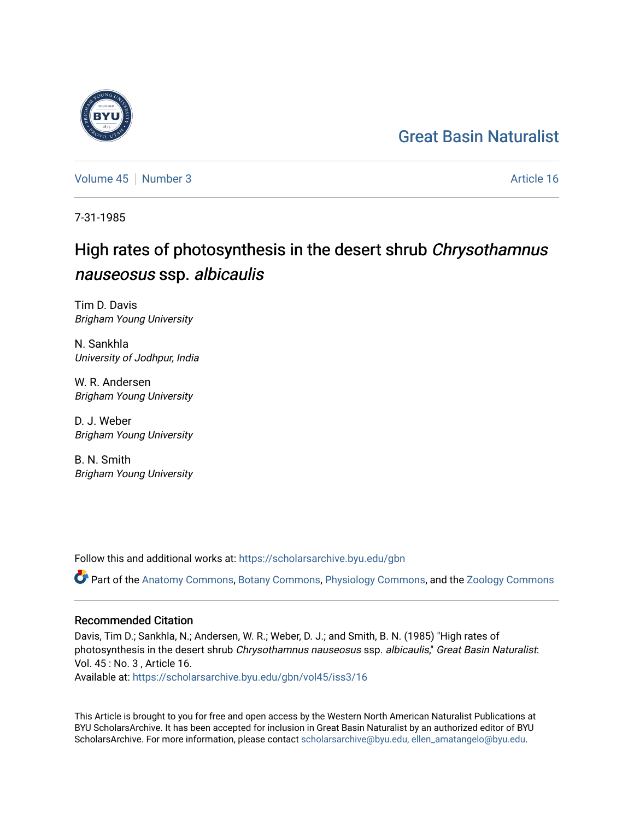# [Great Basin Naturalist](https://scholarsarchive.byu.edu/gbn)

[Volume 45](https://scholarsarchive.byu.edu/gbn/vol45) | [Number 3](https://scholarsarchive.byu.edu/gbn/vol45/iss3) Article 16

7-31-1985

# High rates of photosynthesis in the desert shrub Chrysothamnus nauseosus ssp. albicaulis

Tim D. Davis Brigham Young University

N. Sankhla University of Jodhpur, India

W. R. Andersen Brigham Young University

D. J. Weber Brigham Young University

B. N. Smith Brigham Young University

Follow this and additional works at: [https://scholarsarchive.byu.edu/gbn](https://scholarsarchive.byu.edu/gbn?utm_source=scholarsarchive.byu.edu%2Fgbn%2Fvol45%2Fiss3%2F16&utm_medium=PDF&utm_campaign=PDFCoverPages) 

Part of the [Anatomy Commons,](http://network.bepress.com/hgg/discipline/903?utm_source=scholarsarchive.byu.edu%2Fgbn%2Fvol45%2Fiss3%2F16&utm_medium=PDF&utm_campaign=PDFCoverPages) [Botany Commons,](http://network.bepress.com/hgg/discipline/104?utm_source=scholarsarchive.byu.edu%2Fgbn%2Fvol45%2Fiss3%2F16&utm_medium=PDF&utm_campaign=PDFCoverPages) [Physiology Commons,](http://network.bepress.com/hgg/discipline/69?utm_source=scholarsarchive.byu.edu%2Fgbn%2Fvol45%2Fiss3%2F16&utm_medium=PDF&utm_campaign=PDFCoverPages) and the [Zoology Commons](http://network.bepress.com/hgg/discipline/81?utm_source=scholarsarchive.byu.edu%2Fgbn%2Fvol45%2Fiss3%2F16&utm_medium=PDF&utm_campaign=PDFCoverPages)

# Recommended Citation

Davis, Tim D.; Sankhla, N.; Andersen, W. R.; Weber, D. J.; and Smith, B. N. (1985) "High rates of photosynthesis in the desert shrub Chrysothamnus nauseosus ssp. albicaulis," Great Basin Naturalist: Vol. 45 : No. 3 , Article 16.

Available at: [https://scholarsarchive.byu.edu/gbn/vol45/iss3/16](https://scholarsarchive.byu.edu/gbn/vol45/iss3/16?utm_source=scholarsarchive.byu.edu%2Fgbn%2Fvol45%2Fiss3%2F16&utm_medium=PDF&utm_campaign=PDFCoverPages) 

This Article is brought to you for free and open access by the Western North American Naturalist Publications at BYU ScholarsArchive. It has been accepted for inclusion in Great Basin Naturalist by an authorized editor of BYU ScholarsArchive. For more information, please contact [scholarsarchive@byu.edu, ellen\\_amatangelo@byu.edu.](mailto:scholarsarchive@byu.edu,%20ellen_amatangelo@byu.edu)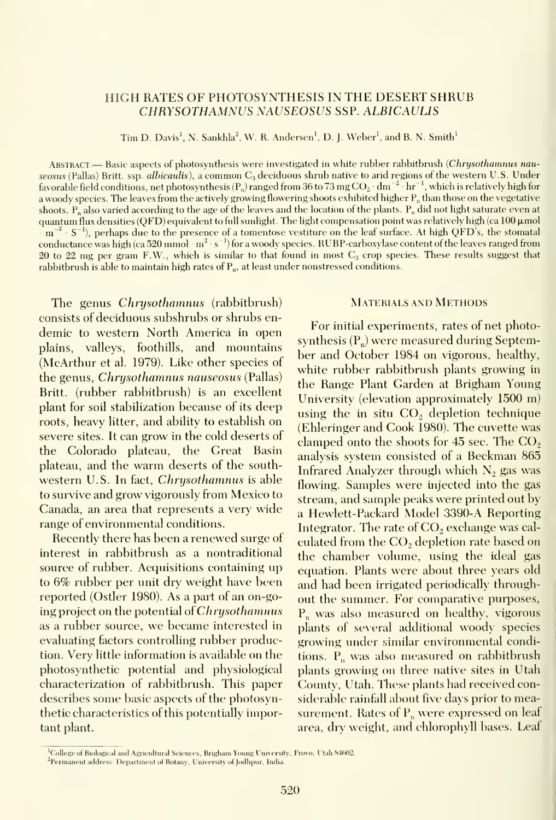## HIGH RATES OF PHOTOSYNTHESIS IN THE DESERT SHRUB CHRYSOTHAMNUS NAUSEOSUS SSP. ALBICAULIS

Tim D. Davis<sup>1</sup>, N. Sankhla<sup>2</sup>, W. R. Andersen<sup>1</sup>, D. J. Weber<sup>1</sup>, and B. N. Smith<sup>1</sup>

ABSTRACT.— Basic aspects of photosynthesis were investigated in white rubber rabbitbrush (Chrysothamnus nauseosus (Pallas) Britt. ssp. *albicaulis*), a common  $C_3$  deciduous shrub native to arid regions of the western U.S. Under favorable field conditions, net photosynthesis (P<sub>n</sub>) ranged from 36 to 73 mg  $CO_2 \cdot dm^{-2}$  hr<sup>-1</sup>, which is relatively high for a woody species. The leaves from the actively growing flowering shoots exhibited higher  $P_n$  than those on the vegetative shoots.  $P_n$  also varied according to the age of the leaves and the location of the plants.  $P_n$  did not light saturate even at quantum flux densities (QFD) equivalent to full sunlight. The light compensation point was relatively high (ca  $100 \mu$ mol  $m^{-2} \cdot S^{-1}$ ), perhaps due to the presence of a tomentose vestiture on the leaf surface. At high QFD's, the stomatal conductance was high (ca 520 mmol  $m^2 \cdot s^{-1}$ ) for a woody species. RUBP-carboxylase content of the leaves ranged from 20 to 22 mg per gram F.W., which is similar to that found in most  $C_3$  crop species. These results suggest that rabbitbrush is able to maintain high rates of  $P_n$ , at least under nonstressed conditions.

The genus Chrysothamnus (rabbitbrush) consists of deciduous subshrubs or shrubs en demic to western North America in open plains, valleys, foothills, and mountains (McArthur et al. 1979). Like other species of the genus, Chrysothamnus nauseosus (Pallas) Britt. (rubber rabbitbrush) is an excellent plant for soil stabilization because of its deep roots, heavy litter, and ability to establish on severe sites. It can grow in the cold deserts of the Colorado plateau, the Great Basin plateau, and the warm deserts of the south western U.S. In fact, Chrysothamnus is able to survive and grow vigorously from Mexico to Canada, an area that represents a very wide range of environmental conditions.

Recently there has been arenewed surge of interest in rabbitbrush as a nontraditional source of rubber. Acquisitions containing up to 6% rubber per unit dry weight have been reported (Ostler 1980). As a part of an on-going project on the potential of Chrysothamnus as a rubber source, we became interested in evaluating factors controlling rubber production. Very little information is available on the photosynthetic potential and physiological characterization of rabbitbrush. This paper describes some basic aspects of the photosynthetic characteristics of this potentially important plant.

# Materials and Methods

For initial experiments, rates of net photosynthesis  $(P_n)$  were measured during September and October 1984 on vigorous, healthy, white rubber rabbitbrush plants growing in the Range Plant Garden at Brigham Young University (elevation approximately 1500 m) using the in situ CO, depletion technique (Ehleringer and Cook 1980). The cuvette was clamped onto the shoots for  $45$  sec. The  $CO<sub>2</sub>$ analysis system consisted of a Beckman 865 Infrared Analyzer through which  $N_2$  gas was flowing. Samples were injected into the gas stream, and sample peaks were printed out by a Hewlett-Packard Model 3390-A Reporting Integrator. The rate of CO<sub>2</sub> exchange was calculated from the CO<sub>2</sub> depletion rate based on the chamber volume, using the ideal gas equation. Plants were about three years old and had been irrigated periodically throughout the summer. For comparative purposes,  $P_n$  was also measured on healthy, vigorous plants of several additional woody species growing under similar enxironmental conditions.  $P_n$  was also measured on rabbitbrush plants growing on three native sites in Utah County, Utah. These plants had received considerable rainfall about five days prior to measurement. Rates of  $P_n$  were expressed on leaf area, dry weight, and chlorophyll bases. Leaf

 $^{1}$ College of Biological and Agricultural Sciences, Brigham Young University, Provo, Utah 84602 <sup>2</sup>Permanent address: Department of Botany, University of Jodhpur, India.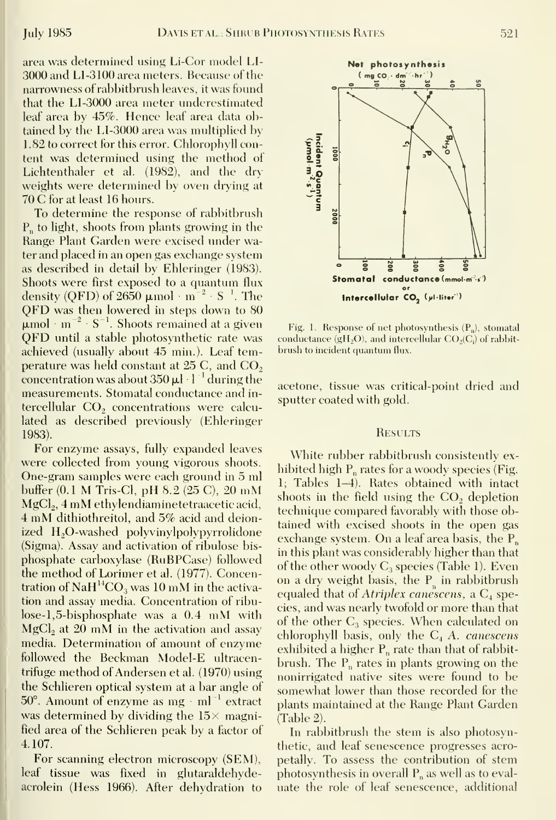area was determined using Li-Cor model LI- 3000 and LI-3100 area meters. Because of the narrowness of rabbitbrush leaves, it was found that the LI-3000 area meter underestimated leaf area by 45%. Hence leaf area data obtained by the LI-3000 area was multiplied by 1.82 to correct for this error. Chlorophyll content was determined using the method of Lichtenthaler et al. (1982), and the dry weights were determined by oven drying at 70 C for at least <sup>16</sup> hours.

To determine the response of rabbitbrush  $P_n$  to light, shoots from plants growing in the Range Plant Garden were excised under water and placed in an open gas exchange system as described in detail by Ehleringer (1983). Shoots were first exposed to a quantum flux density (QFD) of 2650  $\mu$ mol · m<sup>-2</sup> · S<sup>-1</sup>. The QFD was then lowered in steps down to <sup>80</sup>  $\mu$ mol m<sup>-2</sup> S<sup>-1</sup>. Shoots remained at a given QFD until <sup>a</sup> stable photosynthetic rate was achieved (usually about 45 min.). Leaf temperature was held constant at  $25$  C, and  $CO<sub>2</sub>$ concentration was about  $350 \mu l \cdot l^{-1}$  during the measurements. Stomatal conductance and in tercellular CO<sub>2</sub> concentrations were calculated as described previously (Ehleringer 1983).

For enzyme assays, fully expanded leaves were collected from young vigorous shoots. One-gram samples were each ground in 5 ml buffer (0.1 M Tris-Cl, pH 8.2 (25 C), <sup>20</sup> mM MgCl<sub>2</sub>, 4 mM ethylendiaminetetraacetic acid, <sup>4</sup> mM dithiothreitol, and 5% acid and deionized H<sub>2</sub>O-washed polyvinylpolypyrrolidone (Sigma). Assay and activation of ribulose bis phosphate carboxylase (RuBPCase) followed the method of Lorimer et al. (1977). Concentration of  $NAH^{14}CO_3$  was 10 mM in the activation and assay media. Concentration of ribulose-1,5-bisphosphate was a 0.4 mM with MgCl<sub>2</sub> at 20 mM in the activation and assay media. Determination of amount of enzyme followed the Beckman Model-E ultracentrifuge method of Andersen et al. (1970) using the Schlieren optical system at a bar angle of  $50^\circ$ . Amount of enzyme as mg  $\cdot$  ml<sup>-1</sup> extract was determined by dividing the  $15\times$  magnified area of the Schlieren peak by a factor of 4.107.

For scanning electron microscopy (SEM), leaf tissue was fixed in glutaraldehydeacrolein (Hess 1966). After dehydration to



Fig. 1. Response of net photosynthesis  $(P_n)$ , stomatal conductance  $(gH<sub>2</sub>O)$ , and intercellular  $CO<sub>2</sub>(C<sub>i</sub>)$  of rabbitbrush to incident quantum flux.

acetone, tissue was critical-point dried and sputter coated with gold.

### **RESULTS**

White rubber rabbitbrush consistently ex hibited high  $P_n$  rates for a woody species (Fig. 1; Tables 1-4). Rates obtained with intact shoots in the field using the CO, depletion technique compared favorably with those obtained with excised shoots in the open gas exchange system. On <sup>a</sup> leaf area basis, the P^ in this plant was considerably higher than that of the other woody  $C_3$  species (Table 1). Even on a dry weight basis, the  $P_n$  in rabbitbrush equaled that of Atriplex canescens, a  $C_4$  species, and was nearly twofold or more than that of the other  $C_3$  species. When calculated on chlorophyll basis, only the  $C_4$  A. canescens exhibited a higher  $P_n$  rate than that of rabbitbrush. The  $P_n$  rates in plants growing on the nonirrigated native sites were found to be somewhat lower than those recorded for the plants maintained at the Range Plant Garden (Table 2).

In rabbitbrush the stem is also photosynthetic, and leaf senescence progresses acropetally. To assess the contribution of stem photosynthesis in overall  $P_n$  as well as to evaluate the role of leaf senescence, additional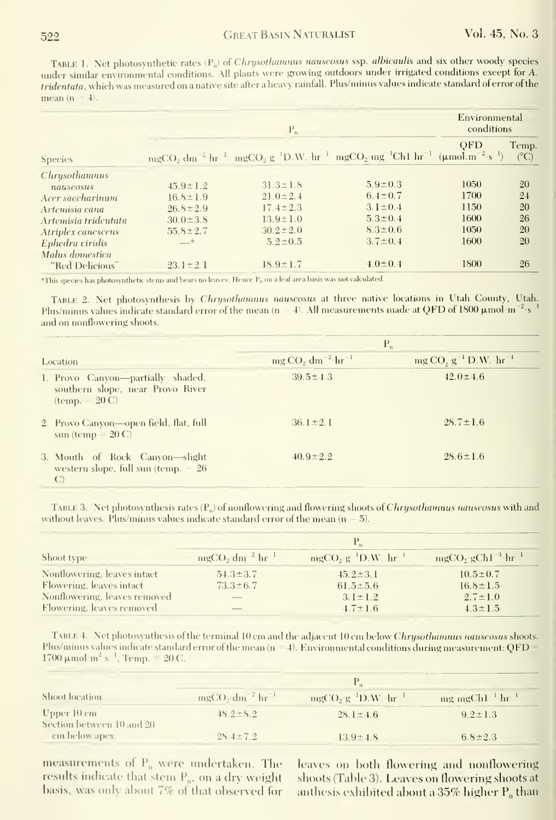TABLE 1. Net photosynthetic rates (P<sub>n</sub>) of Chrysothamnus nauseosus ssp. albicaulis and six other woody species under similar environmental conditions. All plants were growing outdoors under irrigated conditions except for A. tridentata, which was measured on a native site after a heavy rainfall. Plus/minus values indicate standard of error of the mean  $(n = 4)$ .

|                      | $P_n$          |                |                                                                                                                                                                                                             | Environmental<br>conditions |                        |
|----------------------|----------------|----------------|-------------------------------------------------------------------------------------------------------------------------------------------------------------------------------------------------------------|-----------------------------|------------------------|
| <b>Species</b>       |                |                | mgCO <sub>2</sub> dm <sup>-2</sup> hr <sup>-1</sup> mgCO <sub>2</sub> g <sup>-1</sup> D.W. hr <sup>-1</sup> mgCO <sub>2</sub> mg <sup>-1</sup> Ch1 hr <sup>-1</sup> (µmol.m <sup>-2</sup> s <sup>-1</sup> ) | <b>OFD</b>                  | Temp.<br>$(^{\circ}C)$ |
| Chrysothamnus        |                |                |                                                                                                                                                                                                             |                             |                        |
| nauseosus            | $45.9 \pm 1.2$ | $31.3 \pm 1.8$ | $5.9 \pm 0.3$                                                                                                                                                                                               | 1050                        | 20                     |
| Acer saccharinum     | $16.8 \pm 1.9$ | $21.0 \pm 2.4$ | $6.4 \pm 0.7$                                                                                                                                                                                               | 1700                        | 24                     |
| Artemisia cana       | $26.8 \pm 2.9$ | $17.4 \pm 2.3$ | $3.1 \pm 0.4$                                                                                                                                                                                               | 1150                        | 20                     |
| Artemisia tridentata | $30.0 \pm 3.8$ | $13.9 \pm 1.0$ | $5.3 \pm 0.4$                                                                                                                                                                                               | 1600                        | 26                     |
| Atriplex canescens   | $55.8 \pm 2.7$ | $30.2 \pm 2.0$ | $8.3 \pm 0.6$                                                                                                                                                                                               | 1050                        | 20                     |
| Ephedra viridis      | $-$ *          | $5.2 \pm 0.5$  | $3.7 \pm 0.4$                                                                                                                                                                                               | 1600                        | 20                     |
| Malus domestica      |                |                |                                                                                                                                                                                                             |                             |                        |
| "Red Delicious"      | $23.1 \pm 2.1$ | $18.9 \pm 1.7$ | $4.0 \pm 0.4$                                                                                                                                                                                               | 1800                        | 26                     |

\*This species has photosynthetic stems and bears no leaves. Hence P<sub>n</sub> on a leaf area basis was not calculated

TABLE 2. Net photosynthesis by Chrysothamnus nauscosus at three native locations in Utah County, Utah. Plus/minus values indicate standard error of the mean  $(n-4)$ . All measurements made at QFD of 1800  $\mu$ mol·m<sup>-2</sup>·s<sup>1</sup> and on nonflowering shoots.

|                                                                                                          | $P_n$             |                                          |  |
|----------------------------------------------------------------------------------------------------------|-------------------|------------------------------------------|--|
| Location                                                                                                 | $mgCO2 dm-2 hr-1$ | $mg CO_s$ g <sup>-1</sup> D.W. $hr^{-1}$ |  |
| 1. Provo Canvon—partially shaded,<br>southern slope, near Provo River<br>$(\text{temp.} - 20 \text{ C})$ | $39.5 \pm 4.3$    | $42.0 \pm 4.6$                           |  |
| 2. Provo Canyon-open field, flat, full<br>$sum (temp - 20 C)$                                            | $36.1 \pm 2.1$    | $28.7 \pm 1.6$                           |  |
| 3. Mouth of Rock Canvon-slight<br>western slope, full sun (temp. $-26$<br>$\mathcal{C}$                  | $40.9 \pm 2.2$    | $28.6 \pm 1.6$                           |  |

TABLE 3. Net photosynthesis rates  $(P_n)$  of nonflowering and flowering shoots of Chrysothamnus nauseosus with and without leaves. Plus/minus values indicate standard error of the mean  $(n - 5)$ .

| Shoot type                   | $mgCO$ , dm <sup>2</sup> hr <sup>1</sup> | $mgCO2 g-1D.W. hr-1$ | $mgCO, gCh1^{-1}hr^{-1}$ |
|------------------------------|------------------------------------------|----------------------|--------------------------|
| Nonflowering, leaves intact  | $54.3 \pm 3.7$                           | $45.2 \pm 3.1$       | $10.5 \pm 0.7$           |
| Flowering, leaves intact     | $73.3 \pm 6.7$                           | $61.5 \pm 5.6$       | $16.8 \pm 1.5$           |
| Nonflowering, leaves removed | $\overline{\phantom{a}}$                 | $3.1 \pm 1.2$        | $2.7 \pm 1.0$            |
| Flowering, leaves removed    | _                                        | $4.7 \pm 1.6$        | $4.3 \pm 1.5$            |

TABLE 4. Net photosynthesis of the terminal 10 cm and the adjacent 10 cm below Chrysothamnus nauseosus shoots. Plus/minus values indicate standard error of the mean  $(n = 4)$ . Environmental conditions during measurement: QFD 1700  $\mu$  mol·m<sup>2</sup> s<sup>-1</sup>, Temp. = 20 C.

| Shoot location                           |                                            |                      |                                           |  |
|------------------------------------------|--------------------------------------------|----------------------|-------------------------------------------|--|
|                                          | $mgCO$ , dm <sup>-2</sup> hr <sup>-1</sup> | $mgCO2 g-1D.W1 hr-1$ | $mg$ mgCh1 <sup>-1</sup> hr <sup>-1</sup> |  |
| Upper 10 cm<br>Section between 10 and 20 | $48.2 \pm 8.2$                             | $28.1 \pm 4.6$       | $9.2 \pm 1.3$                             |  |
| cm below apex                            | $28.4 \pm 7.2$                             | $13.9 \pm 4.8$       | $6.8 \pm 2.3$                             |  |

measurements of  $P_n$  were undertaken. The results indicate that stem  $P_n$ , on a dry weight<br>basis, was only about 7% of that observed for leaves on both flowering and nonflowering shoots (Table 3). Leaves on flowering shoots at anthesis exhibited about a 35% higher P<sub>n</sub> than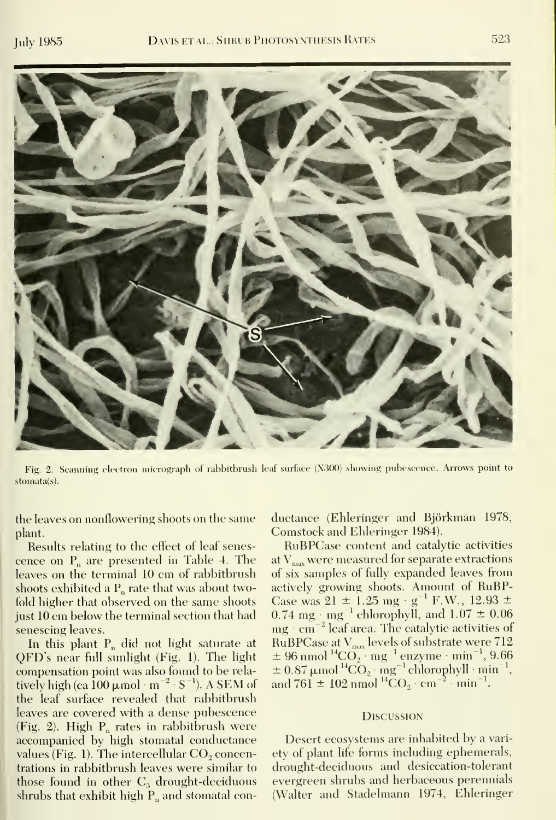

Fig. 2. Scanning electron micrograph of rahbitbrush leaf surface (X300) showing pubescence. Arrows point to stomata(s).

the leaves on nonflowering shoots on the same plant.

Results relating to the effect of leaf senes cence on  $P_n$  are presented in Table 4. The leaves on the terminal 10 cm of rahbitbrush shoots exhibited a  $P_n$  rate that was about twofold higher that observed on the same shoots just 10 cm below the terminal section that had senescing leaves.

In this plant  $P_n$  did not light saturate at QFD's near full sunlight (Fig. 1). The light compensation point was also found to be rela tively high (ca  $100 \mu$  mol  $m^{-2} \cdot S^{-1}$ ). A SEM of the leaf surface revealed that rahbitbrush leaves are covered with a dense pubescence (Fig. 2). High  $P_n$  rates in rabbitbrush were accompanied by high stomatal conductance values (Fig. 1). The intercellular  $CO<sub>2</sub>$  concentrations in rahbitbrush leaves were similar to those found in other  $C_3$  drought-deciduous shrubs that exhibit high  $P_n$  and stomatal conductance (Ehleringer and Bjorkman 1978, Comstock and Ehleringer 1984).

RuBPCase content and catalytic activities at  $V_{\text{max}}$  were measured for separate extractions of six samples of fully expanded leaves from activelv growing shoots. Amount of RuBP-Case was  $21 \pm 1.25$  mg · g<sup>-1</sup> F.W., 12.93  $\pm$ 0.74 mg  $\cdot$  mg<sup>-1</sup> chlorophyll, and  $1.07 \pm 0.06$  $mg \cdot cm^{-2}$  leaf area. The catalytic activities of RuBPCase at  $V_{\text{max}}$  levels of substrate were  $712$  $\pm$  96 nmol  $^{14} \text{CO}_2 \cdot \text{mg}^{-1}$  enzyme  $\cdot$  min $^{-1}$ , 9.66  $\pm$  0.87  $\mu$ mol  $^{14}CO_2 \cdot mg^{-1}$  chlorophyll  $\cdot$  min $^{-1}$ , and 761  $\pm$  102 nmol <sup>14</sup>CO<sub>2</sub> · cm<sup>-2</sup> · min<sup>-1</sup>.

#### **Discussion**

Desert ecosystems are inhabited by a variety of plant life forms including ephemerals, drought-deciduous and desiccation-tolerant evergreen shrubs and herbaceous perennials (Walter and Stadelmann 1974, Ehleringer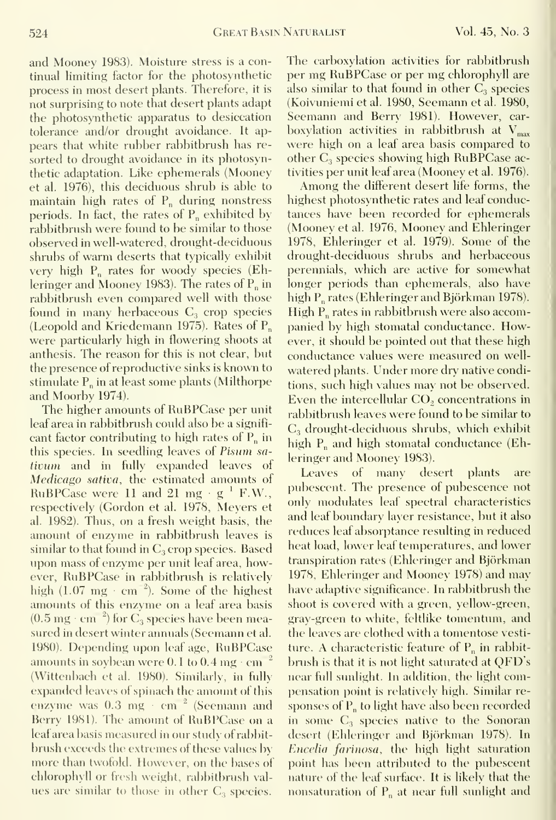and Mooney 1983). Moisture stress is a continual limiting factor for the photosynthetic process in most desert plants. Therefore, it is not surprising to note that desert plants adapt the photosynthetic apparatus to desiccation tolerance and/or drought avoidance. It ap pears that white rubber rabbitbrush has re sorted to drought avoidance in its photosynthetic adaptation. Like ephemerals (Mooney et al. 1976), this deciduous shrub is able to maintain high rates of  $P_n$  during nonstress periods. In fact, the rates of  $P_n$  exhibited by rabbitbrush were found to be similar to those observed in well-watered, drought-deciduous shrubs of warm deserts that typically exhibit very high  $P_n$  rates for woody species (Ehleringer and Mooney 1983). The rates of  $P_n$  in rabbitbrush even compared well with those found in many herbaceous  $C_3$  crop species (Leopold and Kriedemann 1975). Rates of  $P_n$ were particularly high in flowering shoots at anthesis. The reason for this is not clear, but the presence of reproductive sinks is known tostimulate  $P_n$  in at least some plants (Milthorpe and Moorby 1974).

The higher amounts of RuBPCase per unit leaf area in rabbitbrush could also be a signifi cant factor contributing to high rates of  $P_n$  in this species. In seedling leaves of Pisum sativum and in fully expanded leaves of Medicago sativa, the estimated amounts of RuBPCase were 11 and 21 mg  $\cdot$  g  $^{1}$  F.W.,  $\frac{pm}{mL}$ respectively (Gordon et al. 1978, Meyers et al. 1982). Thus, on a fresh weight basis, the amount of enzyme in rabbitbrush leaves is similar to that found in  $C_3$  crop species. Based upon mass of enzyme per unit leaf area, however, RuBPCase in rabbitbrush is relatively high  $(1.07 \text{ mg} \cdot \text{cm}^{-2})$ . Some of the highest amounts of this enzyme on a leaf area basis  $(0.5 \text{ mg} \cdot \text{cm}^{-2})$  for C<sub>3</sub> species have been measured in desert winter annuals (Seemann et al. 1980). Depending upon leaf age, RuBPCase amounts in soybean were  $0.1$  to  $0.4$  mg  $\cdot$  cm  $^{-2}$   $=$  bru (Wittenbach et al. 1980). Similarly, in fully expanded leaves of spinach the amount of this enzyme was 0.3 mg cm<sup>-2</sup> (Seemann and Berry 1981). The amount of RuBPCase on a leaf area basis measured inour study of rabbit brush exceeds the extremes of these values by more than twofold. However, on the bases of chlorophyll or fresh weight, rabbitbrush val ues are similar to those in other  $C_3$  species.

The carboxylation activities for rabbitbrush per mg RuBPCase or per mg chlorophyll are also similar to that found in other  $C_3$  species (Koivuniemi et al. 1980, Seemann et al. 1980, Seemann and Berry 1981). However, car boxylation activities in rabbitbrush at  $V_{\text{max}}$ were high on a leaf area basis compared to other  $C_3$  species showing high RuBPCase activities per unit leaf area (Mooney et al. 1976).

Among the different desert life forms, the highest photosynthetic rates and leaf conductances have been recorded for ephemerals (Mooney et al. 1976, Mooney and Ehleringer 1978, Ehleringer et al. 1979). Some of the drought-deciduous shrubs and herbaceous perennials, which are active for somewhat longer periods than ephemerals, also have high P<sub>n</sub> rates (Ehleringer and Björkman 1978). High P<sub>n</sub> rates in rabbitbrush were also accompanied by high stomatal conductance. However, it should be pointed out that these high conductance values were measured on well watered plants. Under more dry native conditions, such high values may not be observed. Even the intercellular  $CO<sub>2</sub>$  concentrations in rabbitbrush leaves were found to be similar to  $C_3$  drought-deciduous shrubs, which exhibit high  $P_n$  and high stomatal conductance (Ehleringer and Mooney 1983).

brush is that it is not light saturated at  $\rm QFD's$  .  $\Box$ Leaves of many desert plants are pubescent. The presence of pubescence not only modulates leaf spectral characteristics and leaf boundary layer resistance, but it also reduces leaf absorptance resulting in reduced heat load, lower leaf temperatines, and lower transpiration rates (Ehleringer and Bjorkman 1978, Ehleringer and Mooney 1978) and may have adaptive significance. In rabbitbrush the shoot is covered with a green, yellow-green, gray-green to white, feltlike tomentum, and the leaves are clothed with a tomentose vesti ture. A characteristic feature of  $P_n$  in rabbitnear full sunlight. In addition, the light compensation point is relatively high. Similar responses of  $P_n$  to light have also been recorded in some  $C_3$  species native to the Sonoran desert (Ehleringer and Bjorkman 1978). In Encelia farinosa, the high light saturation point has been attributed to the pubescent nature of the leaf surface. It is likely that the nonsaturation of  $P_n$  at near full sunlight and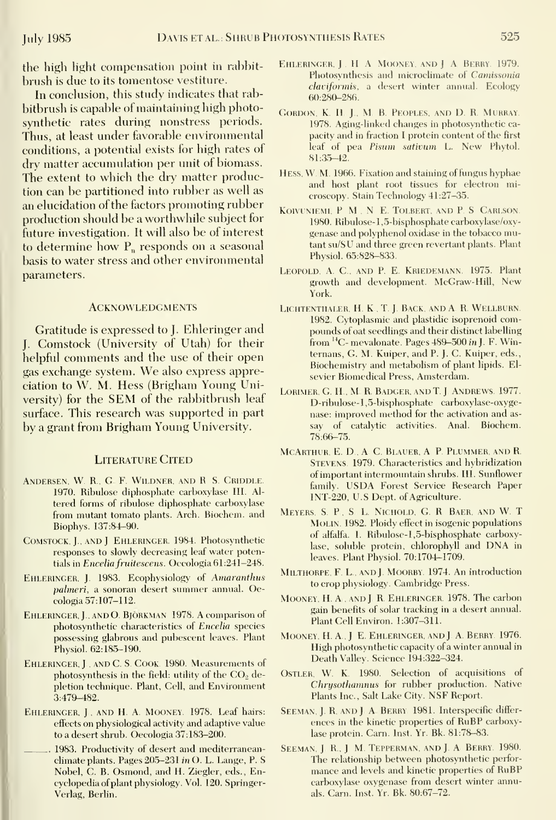the high hght compensation point in rabhit brush is due to its tomentose vestiture.

In conclusion, this study indicates that rabbitbrush is capable of maintaining high photosynthetic rates during nonstress periods. Thus, at least under favorable environmental conditions, a potential exists for high rates of dry matter accumulation per unit of biomass. The extent to which the dry matter production can be partitioned into rubber as well as an elucidation of the factors promoting rubber production should be a worthwhile subject for future investigation. It will also be of interest to determine how  $P_n$  responds on a seasonal basis to water stress and other environmental parameters.

### **ACKNOWLEDGMENTS**

Gratitude is expressed to J. Ehleringer and J. Comstock (University of Utah) for their helpful comments and the use of their open gas exchange system. We also express appreciation to W. M. Hess (Brigham Young University) for the SEM of the rabbitbrush leaf surface. This research was supported in part by a grant from Brigham Young University.

### Literature Cited

- Andersen, W R., G F. Wildner. and R. S. Griddle. 1970. Ribulose diphosphate carboxylase III. Al tered forms of ribulose diphosphate carboxylase from mutant tomato plants. Arch. Biochem. and Biophys. 137:84-90.
- Comstock, J, and <sup>J</sup> Ehleringer. 1984. Photosynthetic responses to slowly decreasing leaf water potentials in Encelia fruitescens. Oecologia 61:241-248.
- EHLERINGER, J. 1983. Ecophysiology of Amaranthus palmeri, a sonoran desert summer annual. Oecologia 57:107-112.
- Ehleringer,]., AND O. BjORKMAN. 1978. A comparison of photosynthetic characteristics of Encelia species possessing glabrous and pubescent leaves. Plant Physiol. 62:185-190.
- EHLERINGER, J., AND C. S. COOK. 1980. Measurements of photosynthesis in the field: utility of the  $CO<sub>2</sub>$  depletion technique. Plant, Cell, and Environment 3:479-482.
- Ehleringer, J., and H. A. Mooney. 1978. Leaf hairs: effects on physiological activity and adaptive value to a desert shrub. Oecologia 37:183-200.
	- 1983. Productivity of desert and mediterranean climate plants. Pages  $205-231$  in O. L. Lange, P. S. Nobel, G. B. Osmond, and H. Ziegler, eds.. Encyclopedia ofplant physiology. Vol. 120. Springer-Verlag, Berlin.
- EHLERINGER, J., H. A. MOONEY, AND J. A. BERRY. 1979. Photosynthesis and microclimate of Camissonia claviformis, a desert winter annual. Ecology 60:280-286.
- GORDON, K. H. J., M. B. PEOPLES, AND D. R. MURRAY. 1978. Aging-linked changes in photosynthetic ca pacity and in fraction I protein content of the first leaf of pea Pisum sativum L. New Phytol. 81:35-42.
- Hess, W. M. 1966. Fixation and staining of fungus hyphae and host plant root tissues for electron microscopy. Stain Technology 41:27-35.
- Koivuniemi, P M., N. E. Tolbert, and P.S. Carlson. 1980. Ribulose-1,5-bisphosphate carboxylase/oxygenase and polyphenol oxidase in the tobacco mutant su/SU and three green revertant plants. Plant Physiol. 65:828-833.
- Leopold, A. C, and P.E Kriedemann. 1975. Plant growth and development. McGraw-Hill, New York.
- LICHTENTHALER, H. K., T. J. BACK, AND A. R. WELLBURN. 1982. Cytoplasmic and plastidic isoprenoid compounds of oat seedlings and their distinct labelling from <sup>14</sup>C- mevalonate. Pages 489-500 in J. F. Winternans, G. M. Kuiper, and P. J. G. Kuiper, eds.. Biochemistry and metabolism of plant lipids. El sevier Biomedical Press, Amsterdam.
- LORIMER, G. H., M. R. BADGER. AND T. J. ANDREWS. 1977. D-ribulose-1,5-bisphosphate carboxylase-oxygenase: improved method for the activation and as say of catalvtic activities. Anal. Biochem. 78:66-75.
- MCARTHUR, E. D., A. C. BLAUER, A. P. PLUMMER, AND R. Stevens. 1979. Characteristics and hybridization of important intermountain shrubs. III. Sunflower family. USDA Forest Service Research Paper lNT-220, U.S Dept. of Agriculture.
- MEYERS, S. P., S. L. NICHOLD, G. R. BAER, AND W. T MOLIN. 1982. Ploidy effect in isogenic populations of alfalfa. I. Ribulose-1,5-bisphosphate carboxylase, soluble protein, chlorophyll and DNA in leaves. Plant Physiol. 70:1704-1709.
- Milthorpe, F. L., and J. Moorby. 1974. An introduction to crop physiology. Cambridge Press.
- Mooney, H. A., and J. R. Ehleringer. 1978. The carbon gain benefits of solar tracking in a desert annual. Plant Cell Environ. 1:307-311.
- MOONEY, H. A., J. E. EHLERINGER, AND J. A. BERRY. 1976. High photosynthetic capacity of a winter annual in Death Valley. Science 194:322-324.
- Ostler, W. K. 1980. Selection of acquisitions of Chrysothamnus for rubber production. Native Plants Inc., Salt Lake City. NSF Report.
- SEEMAN, J. R, AND J. A. BERRY. 1981. Interspecific differences in the kinetic properties of RuBP carboxylase protein. Carn. Inst. Yr. Bk. 81:78-83.
- SEEMAN, J. R., J. M. TEPPERMAN, AND J. A. BERRY. 1980. The relationship between photosynthetic perfor mance and levels and kinetic properties of RuBP carboxylase oxygenase from desert winter annuals. Carn. Inst. Yr. Bk. 80:67-72.